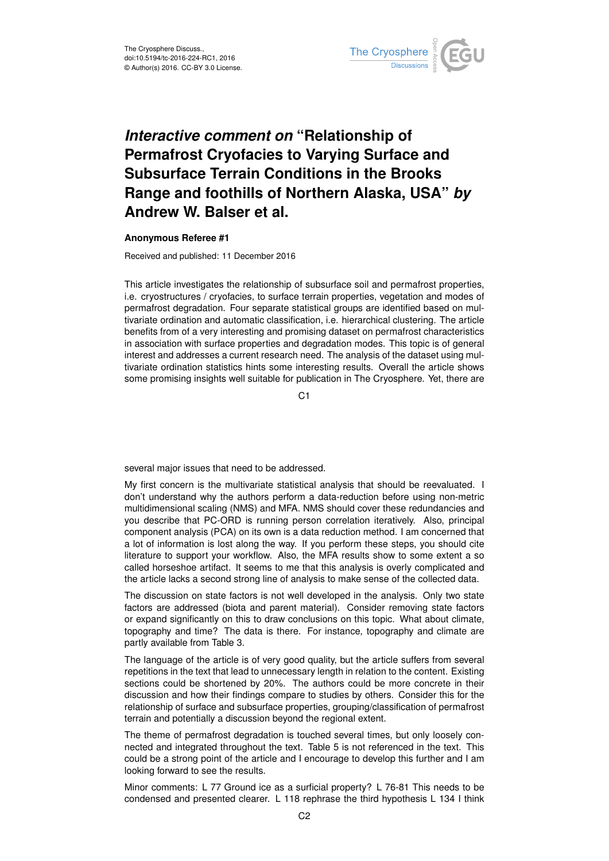

## *Interactive comment on* **"Relationship of Permafrost Cryofacies to Varying Surface and Subsurface Terrain Conditions in the Brooks Range and foothills of Northern Alaska, USA"** *by* **Andrew W. Balser et al.**

## **Anonymous Referee #1**

Received and published: 11 December 2016

This article investigates the relationship of subsurface soil and permafrost properties, i.e. cryostructures / cryofacies, to surface terrain properties, vegetation and modes of permafrost degradation. Four separate statistical groups are identified based on multivariate ordination and automatic classification, i.e. hierarchical clustering. The article benefits from of a very interesting and promising dataset on permafrost characteristics in association with surface properties and degradation modes. This topic is of general interest and addresses a current research need. The analysis of the dataset using multivariate ordination statistics hints some interesting results. Overall the article shows some promising insights well suitable for publication in The Cryosphere. Yet, there are

C1

several major issues that need to be addressed.

My first concern is the multivariate statistical analysis that should be reevaluated. I don't understand why the authors perform a data-reduction before using non-metric multidimensional scaling (NMS) and MFA. NMS should cover these redundancies and you describe that PC-ORD is running person correlation iteratively. Also, principal component analysis (PCA) on its own is a data reduction method. I am concerned that a lot of information is lost along the way. If you perform these steps, you should cite literature to support your workflow. Also, the MFA results show to some extent a so called horseshoe artifact. It seems to me that this analysis is overly complicated and the article lacks a second strong line of analysis to make sense of the collected data.

The discussion on state factors is not well developed in the analysis. Only two state factors are addressed (biota and parent material). Consider removing state factors or expand significantly on this to draw conclusions on this topic. What about climate, topography and time? The data is there. For instance, topography and climate are partly available from Table 3.

The language of the article is of very good quality, but the article suffers from several repetitions in the text that lead to unnecessary length in relation to the content. Existing sections could be shortened by 20%. The authors could be more concrete in their discussion and how their findings compare to studies by others. Consider this for the relationship of surface and subsurface properties, grouping/classification of permafrost terrain and potentially a discussion beyond the regional extent.

The theme of permafrost degradation is touched several times, but only loosely connected and integrated throughout the text. Table 5 is not referenced in the text. This could be a strong point of the article and I encourage to develop this further and I am looking forward to see the results.

Minor comments: L 77 Ground ice as a surficial property? L 76-81 This needs to be condensed and presented clearer. L 118 rephrase the third hypothesis L 134 I think